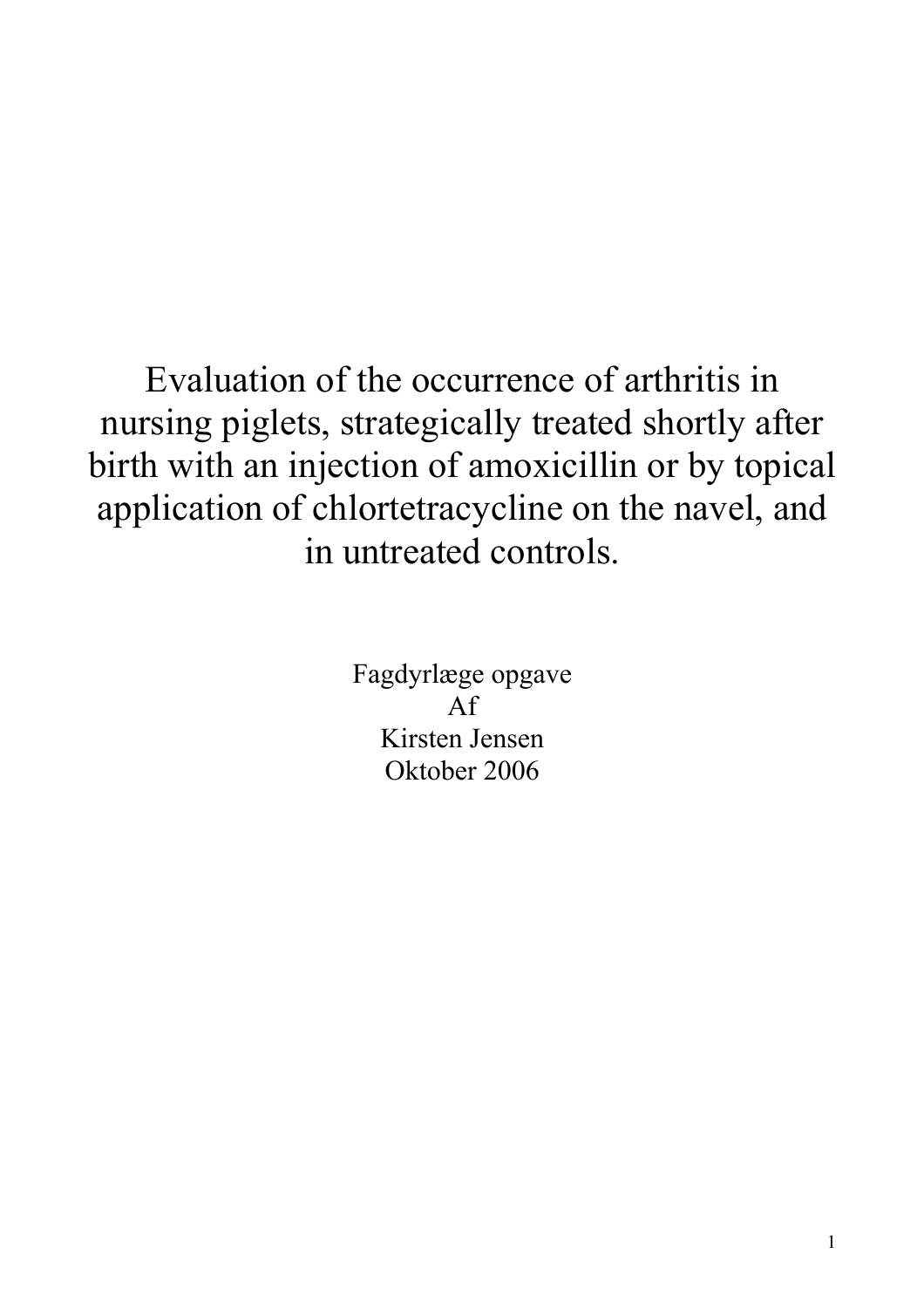Evaluation of the occurrence of arthritis in nursing piglets, strategically treated shortly after birth with an injection of amoxicillin or by topical application of chlortetracycline on the navel, and in untreated controls.

> Fagdyrlæge opgave Af Kirsten Jensen Oktober 2006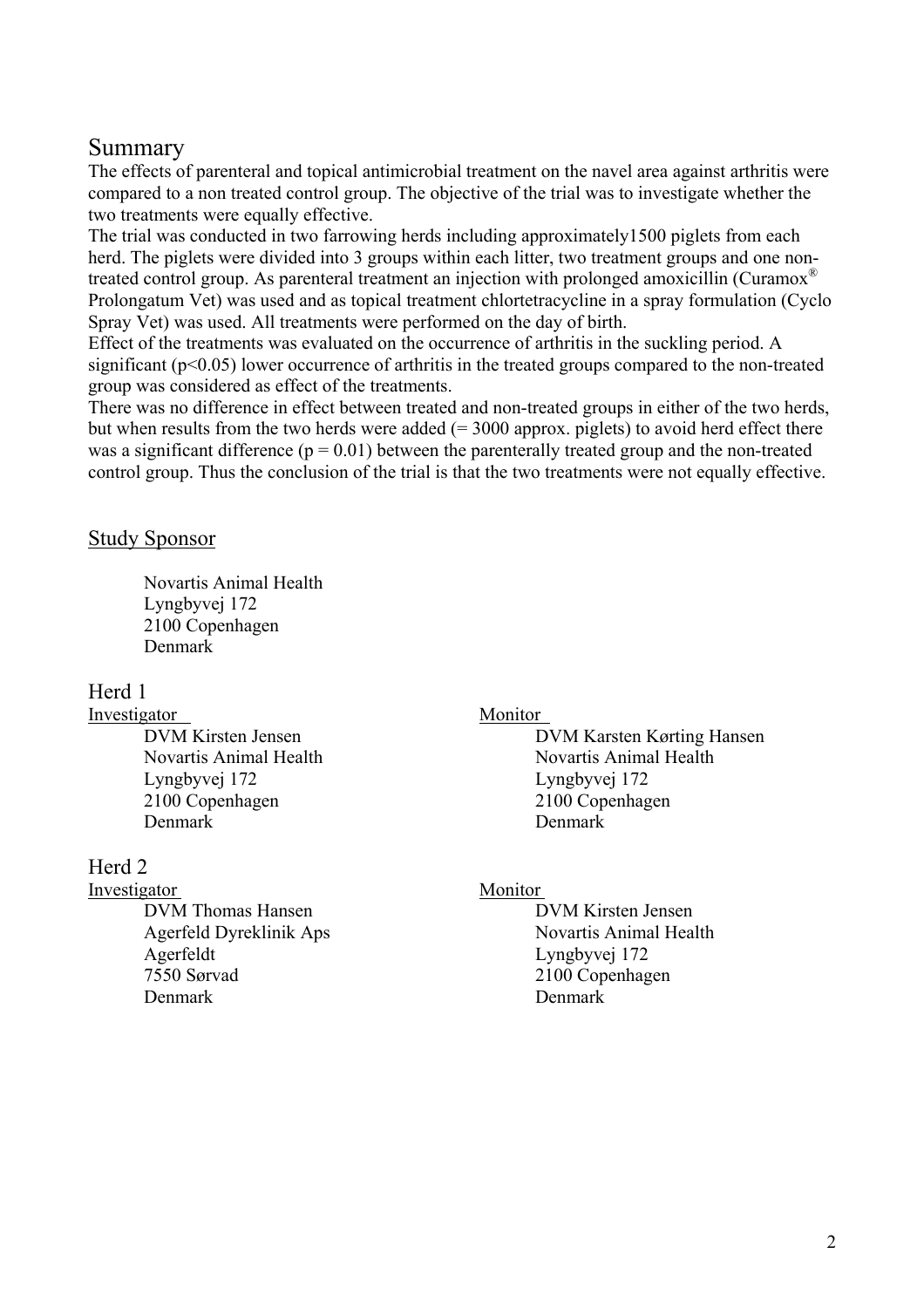# Summary

The effects of parenteral and topical antimicrobial treatment on the navel area against arthritis were compared to a non treated control group. The objective of the trial was to investigate whether the two treatments were equally effective.

The trial was conducted in two farrowing herds including approximately1500 piglets from each herd. The piglets were divided into 3 groups within each litter, two treatment groups and one nontreated control group. As parenteral treatment an injection with prolonged amoxicillin (Curamox® Prolongatum Vet) was used and as topical treatment chlortetracycline in a spray formulation (Cyclo Spray Vet) was used. All treatments were performed on the day of birth.

Effect of the treatments was evaluated on the occurrence of arthritis in the suckling period. A significant ( $p<0.05$ ) lower occurrence of arthritis in the treated groups compared to the non-treated group was considered as effect of the treatments.

There was no difference in effect between treated and non-treated groups in either of the two herds, but when results from the two herds were added  $(= 3000$  approx. piglets) to avoid herd effect there was a significant difference ( $p = 0.01$ ) between the parenterally treated group and the non-treated control group. Thus the conclusion of the trial is that the two treatments were not equally effective.

## Study Sponsor

Novartis Animal Health Lyngbyvej 172 2100 Copenhagen Denmark

## Herd 1

Investigator Monitor

 Lyngbyvej 172 Lyngbyvej 172 2100 Copenhagen 2100 Copenhagen Denmark Denmark

## Herd 2

#### Investigator Monitor

DVM Thomas Hansen DVM Kirsten Jensen Agerfeld Dyreklinik Aps Novartis Animal Health Agerfeldt Lyngbyvej 172 7550 Sørvad 2100 Copenhagen Denmark Denmark Denmark Denmark Denmark Denmark Denmark Denmark Denmark Denmark Denmark Denmark Denmark Denmark Denmark Denmark Denmark Denmark Denmark Denmark Denmark Denmark Denmark Denmark Denmark Denmark Denmark Denmar

DVM Kirsten Jensen DVM Karsten Kørting Hansen Novartis Animal Health Novartis Animal Health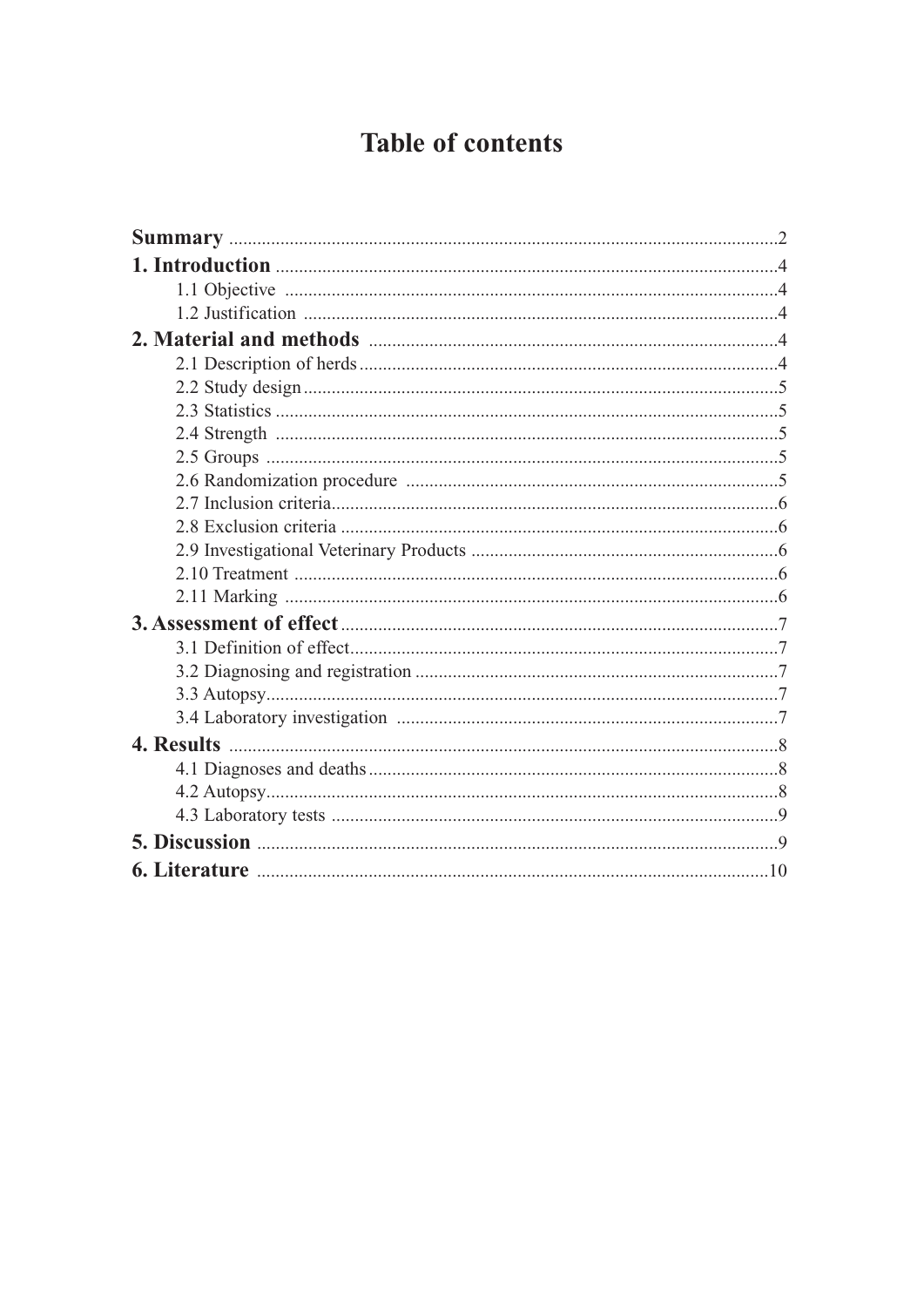# **Table of contents**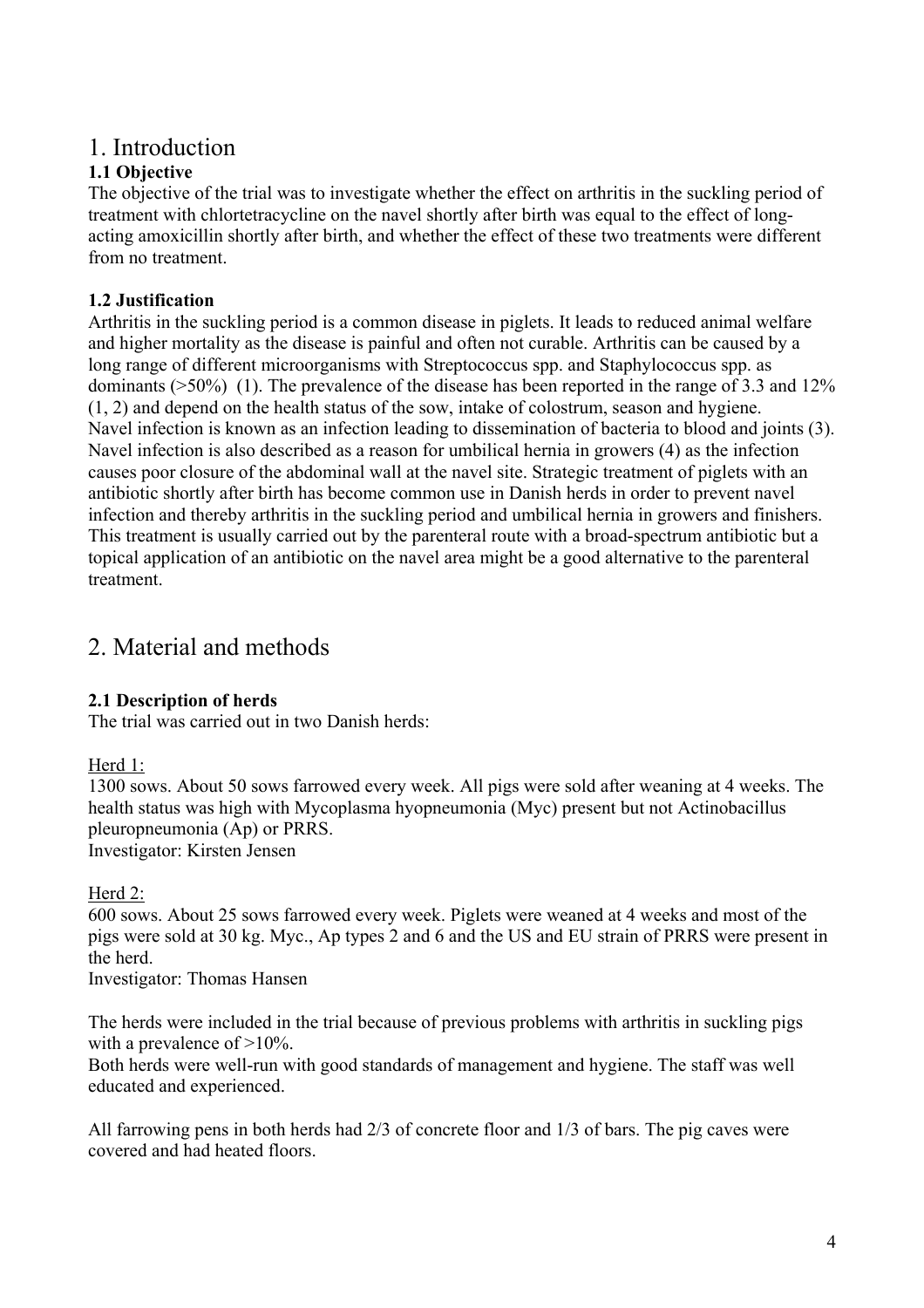# 1. Introduction

# **1.1 Objective**

The objective of the trial was to investigate whether the effect on arthritis in the suckling period of treatment with chlortetracycline on the navel shortly after birth was equal to the effect of longacting amoxicillin shortly after birth, and whether the effect of these two treatments were different from no treatment.

# **1.2 Justification**

Arthritis in the suckling period is a common disease in piglets. It leads to reduced animal welfare and higher mortality as the disease is painful and often not curable. Arthritis can be caused by a long range of different microorganisms with Streptococcus spp. and Staphylococcus spp. as dominants (>50%) (1). The prevalence of the disease has been reported in the range of 3.3 and 12% (1, 2) and depend on the health status of the sow, intake of colostrum, season and hygiene. Navel infection is known as an infection leading to dissemination of bacteria to blood and joints (3). Navel infection is also described as a reason for umbilical hernia in growers (4) as the infection causes poor closure of the abdominal wall at the navel site. Strategic treatment of piglets with an antibiotic shortly after birth has become common use in Danish herds in order to prevent navel infection and thereby arthritis in the suckling period and umbilical hernia in growers and finishers. This treatment is usually carried out by the parenteral route with a broad-spectrum antibiotic but a topical application of an antibiotic on the navel area might be a good alternative to the parenteral treatment.

# 2. Material and methods

## **2.1 Description of herds**

The trial was carried out in two Danish herds:

## Herd 1:

1300 sows. About 50 sows farrowed every week. All pigs were sold after weaning at 4 weeks. The health status was high with Mycoplasma hyopneumonia (Myc) present but not Actinobacillus pleuropneumonia (Ap) or PRRS. Investigator: Kirsten Jensen

## Herd 2:

600 sows. About 25 sows farrowed every week. Piglets were weaned at 4 weeks and most of the pigs were sold at 30 kg. Myc., Ap types 2 and 6 and the US and EU strain of PRRS were present in the herd.

Investigator: Thomas Hansen

The herds were included in the trial because of previous problems with arthritis in suckling pigs with a prevalence of  $>10\%$ .

Both herds were well-run with good standards of management and hygiene. The staff was well educated and experienced.

All farrowing pens in both herds had 2/3 of concrete floor and 1/3 of bars. The pig caves were covered and had heated floors.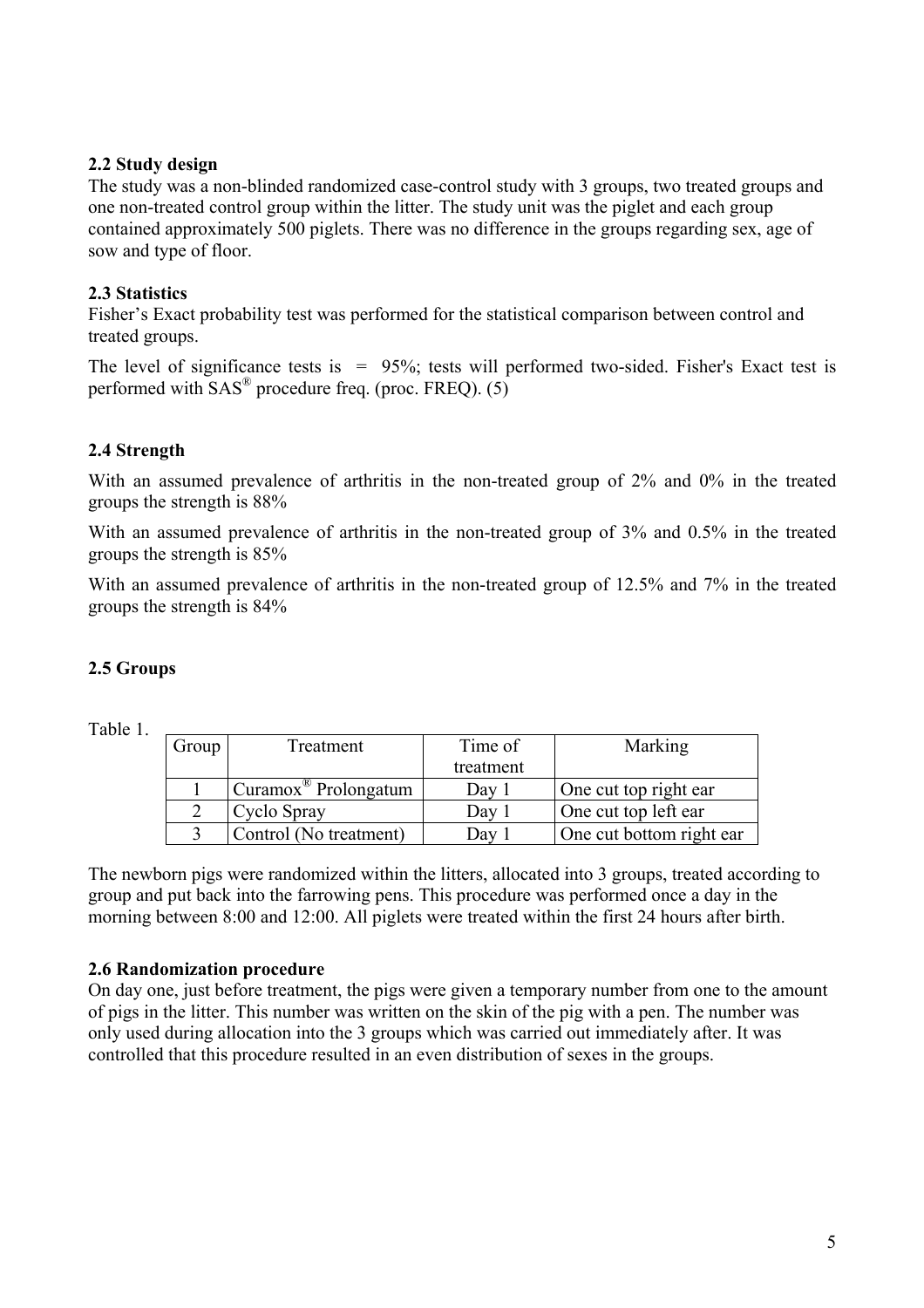#### **2.2 Study design**

The study was a non-blinded randomized case-control study with 3 groups, two treated groups and one non-treated control group within the litter. The study unit was the piglet and each group contained approximately 500 piglets. There was no difference in the groups regarding sex, age of sow and type of floor.

### **2.3 Statistics**

Fisher's Exact probability test was performed for the statistical comparison between control and treated groups.

The level of significance tests is  $= 95\%$ ; tests will performed two-sided. Fisher's Exact test is performed with  $SAS^{\circledR}$  procedure freq. (proc. FREQ). (5)

## **2.4 Strength**

With an assumed prevalence of arthritis in the non-treated group of 2% and 0% in the treated groups the strength is 88%

With an assumed prevalence of arthritis in the non-treated group of 3% and 0.5% in the treated groups the strength is 85%

With an assumed prevalence of arthritis in the non-treated group of 12.5% and 7% in the treated groups the strength is 84%

## **2.5 Groups**

Table 1.

| Group | Treatment                        | Time of    | Marking                   |
|-------|----------------------------------|------------|---------------------------|
|       |                                  | treatment  |                           |
|       | Curamox <sup>®</sup> Prolongatum | Dav        | One cut top right ear     |
|       | Cyclo Spray                      | Day        | One cut top left ear      |
|       | Control (No treatment)           | <b>Day</b> | One cut bottom right ear. |

The newborn pigs were randomized within the litters, allocated into 3 groups, treated according to group and put back into the farrowing pens. This procedure was performed once a day in the morning between 8:00 and 12:00. All piglets were treated within the first 24 hours after birth.

## **2.6 Randomization procedure**

On day one, just before treatment, the pigs were given a temporary number from one to the amount of pigs in the litter. This number was written on the skin of the pig with a pen. The number was only used during allocation into the 3 groups which was carried out immediately after. It was controlled that this procedure resulted in an even distribution of sexes in the groups.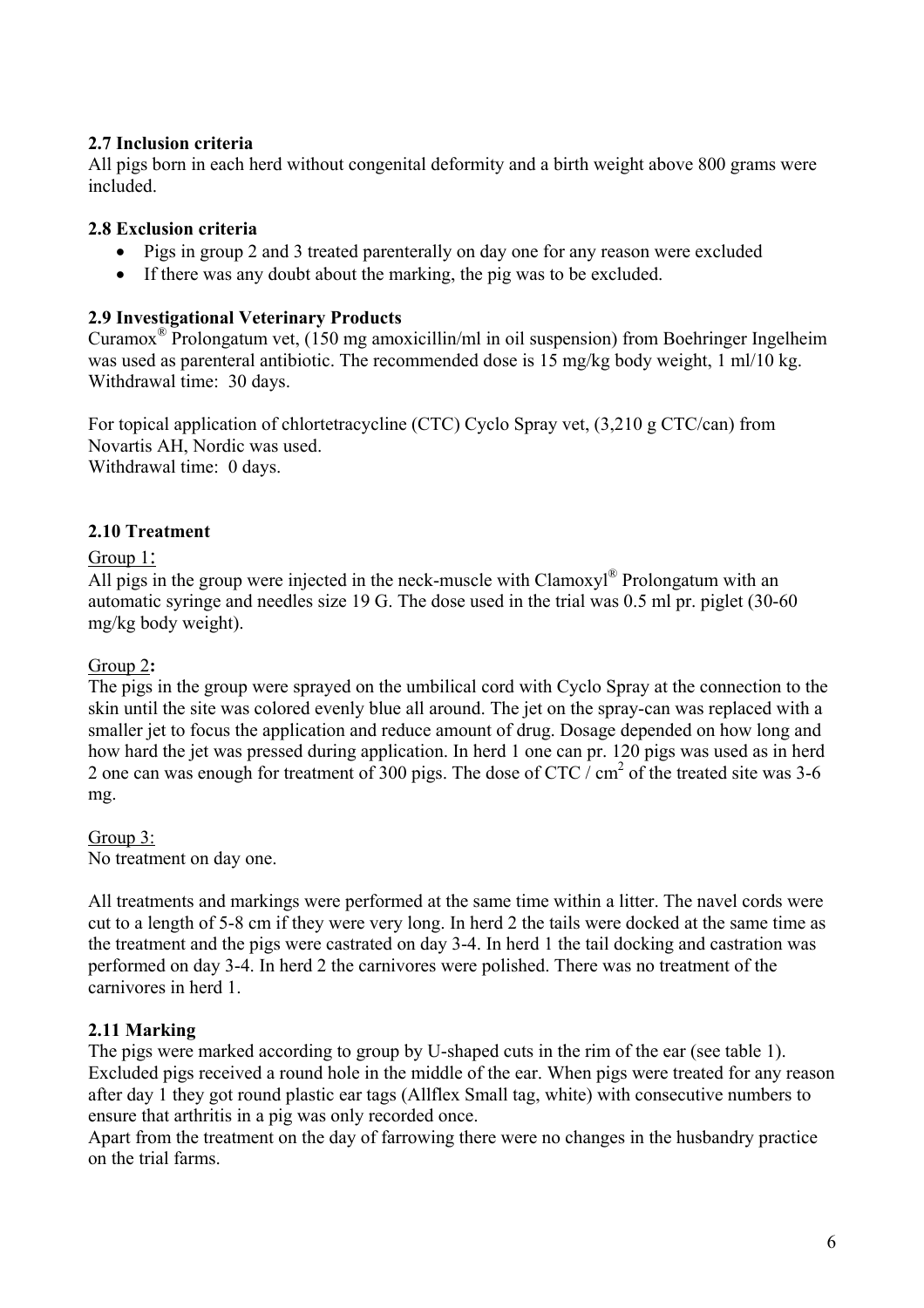### **2.7 Inclusion criteria**

All pigs born in each herd without congenital deformity and a birth weight above 800 grams were included.

#### **2.8 Exclusion criteria**

- Pigs in group 2 and 3 treated parenterally on day one for any reason were excluded
- If there was any doubt about the marking, the pig was to be excluded.

#### **2.9 Investigational Veterinary Products**

Curamox<sup>®</sup> Prolongatum vet, (150 mg amoxicillin/ml in oil suspension) from Boehringer Ingelheim was used as parenteral antibiotic. The recommended dose is 15 mg/kg body weight, 1 ml/10 kg. Withdrawal time: 30 days.

For topical application of chlortetracycline (CTC) Cyclo Spray vet, (3,210 g CTC/can) from Novartis AH, Nordic was used. Withdrawal time: 0 days.

### **2.10 Treatment**

#### Group 1:

All pigs in the group were injected in the neck-muscle with Clamoxyl<sup>®</sup> Prolongatum with an automatic syringe and needles size 19 G. The dose used in the trial was 0.5 ml pr. piglet (30-60 mg/kg body weight).

#### Group 2**:**

The pigs in the group were sprayed on the umbilical cord with Cyclo Spray at the connection to the skin until the site was colored evenly blue all around. The jet on the spray-can was replaced with a smaller jet to focus the application and reduce amount of drug. Dosage depended on how long and how hard the jet was pressed during application. In herd 1 one can pr. 120 pigs was used as in herd 2 one can was enough for treatment of 300 pigs. The dose of CTC  $\frac{1}{2}$  cm<sup>2</sup> of the treated site was 3-6 mg.

#### Group 3:

No treatment on day one.

All treatments and markings were performed at the same time within a litter. The navel cords were cut to a length of 5-8 cm if they were very long. In herd 2 the tails were docked at the same time as the treatment and the pigs were castrated on day 3-4. In herd 1 the tail docking and castration was performed on day 3-4. In herd 2 the carnivores were polished. There was no treatment of the carnivores in herd 1.

#### **2.11 Marking**

The pigs were marked according to group by U-shaped cuts in the rim of the ear (see table 1). Excluded pigs received a round hole in the middle of the ear. When pigs were treated for any reason after day 1 they got round plastic ear tags (Allflex Small tag, white) with consecutive numbers to ensure that arthritis in a pig was only recorded once.

Apart from the treatment on the day of farrowing there were no changes in the husbandry practice on the trial farms.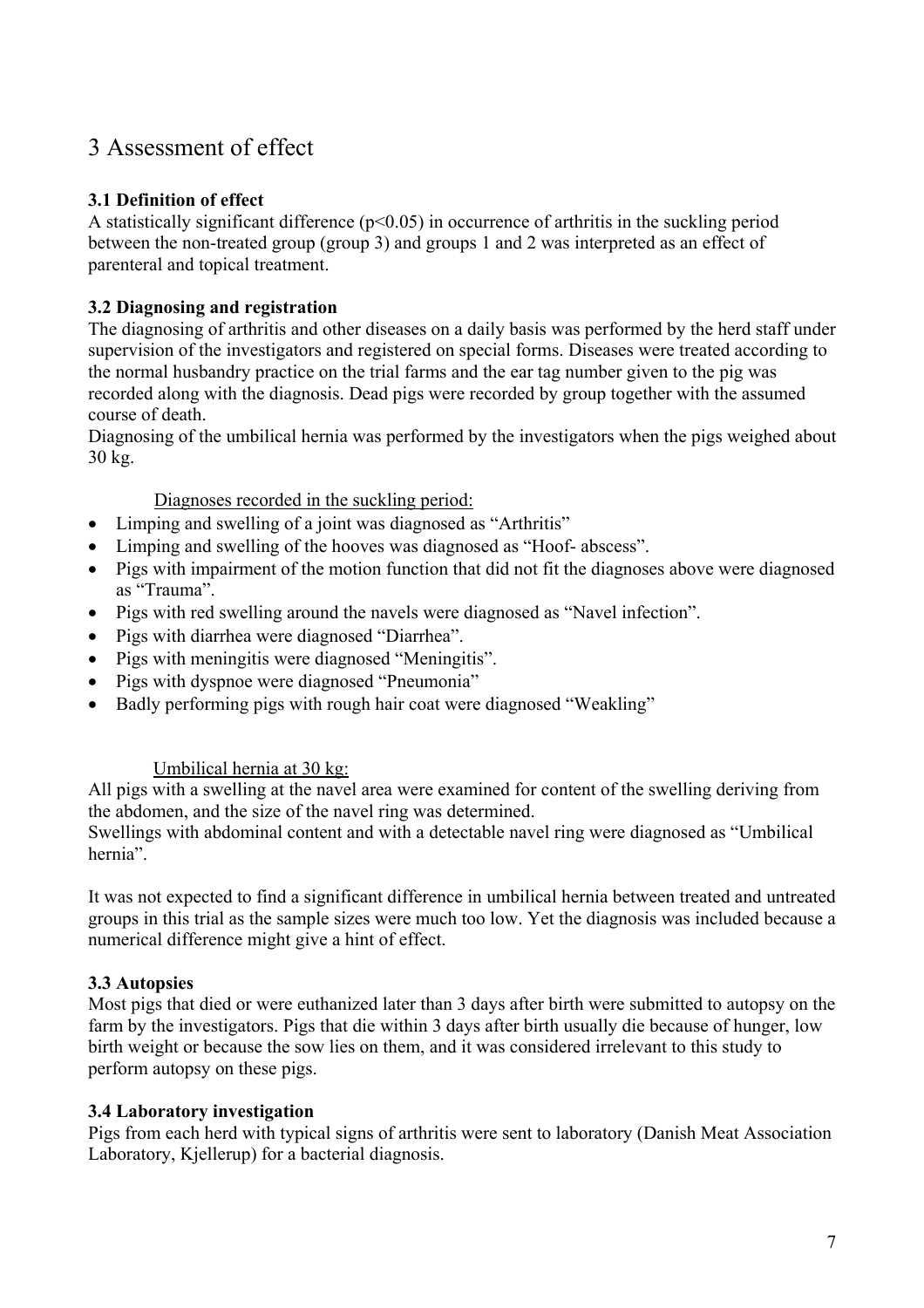# 3 Assessment of effect

### **3.1 Definition of effect**

A statistically significant difference  $(p<0.05)$  in occurrence of arthritis in the suckling period between the non-treated group (group 3) and groups 1 and 2 was interpreted as an effect of parenteral and topical treatment.

### **3.2 Diagnosing and registration**

The diagnosing of arthritis and other diseases on a daily basis was performed by the herd staff under supervision of the investigators and registered on special forms. Diseases were treated according to the normal husbandry practice on the trial farms and the ear tag number given to the pig was recorded along with the diagnosis. Dead pigs were recorded by group together with the assumed course of death.

Diagnosing of the umbilical hernia was performed by the investigators when the pigs weighed about 30 kg.

Diagnoses recorded in the suckling period:

- Limping and swelling of a joint was diagnosed as "Arthritis"
- Limping and swelling of the hooves was diagnosed as "Hoof- abscess".
- Pigs with impairment of the motion function that did not fit the diagnoses above were diagnosed as "Trauma".
- Pigs with red swelling around the navels were diagnosed as "Navel infection".
- Pigs with diarrhea were diagnosed "Diarrhea".
- Pigs with meningitis were diagnosed "Meningitis".
- Pigs with dyspnoe were diagnosed "Pneumonia"
- Badly performing pigs with rough hair coat were diagnosed "Weakling"

#### Umbilical hernia at 30 kg:

All pigs with a swelling at the navel area were examined for content of the swelling deriving from the abdomen, and the size of the navel ring was determined.

Swellings with abdominal content and with a detectable navel ring were diagnosed as "Umbilical hernia".

It was not expected to find a significant difference in umbilical hernia between treated and untreated groups in this trial as the sample sizes were much too low. Yet the diagnosis was included because a numerical difference might give a hint of effect.

#### **3.3 Autopsies**

Most pigs that died or were euthanized later than 3 days after birth were submitted to autopsy on the farm by the investigators. Pigs that die within 3 days after birth usually die because of hunger, low birth weight or because the sow lies on them, and it was considered irrelevant to this study to perform autopsy on these pigs.

#### **3.4 Laboratory investigation**

Pigs from each herd with typical signs of arthritis were sent to laboratory (Danish Meat Association Laboratory, Kjellerup) for a bacterial diagnosis.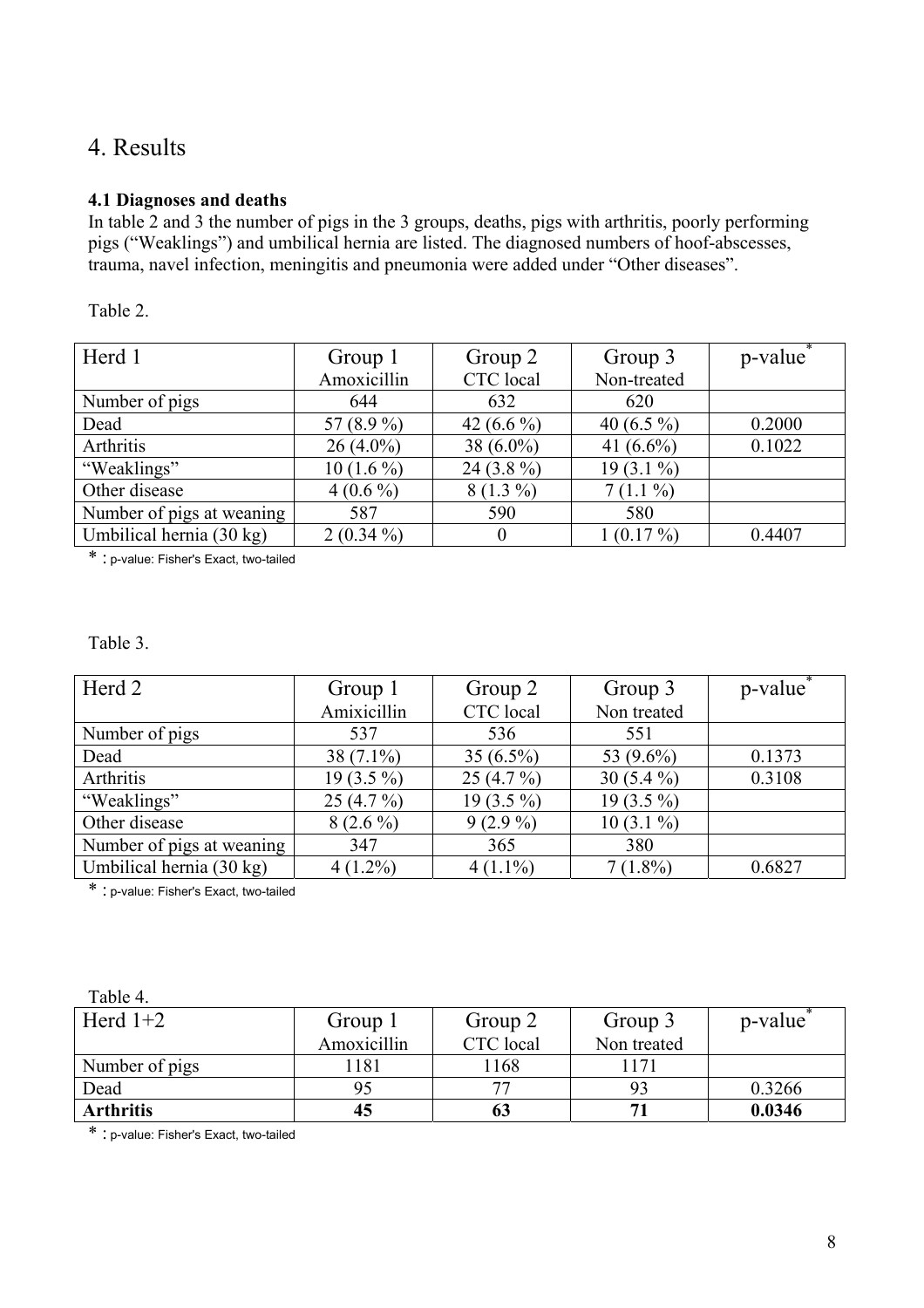# 4. Results

#### **4.1 Diagnoses and deaths**

In table 2 and 3 the number of pigs in the 3 groups, deaths, pigs with arthritis, poorly performing pigs ("Weaklings") and umbilical hernia are listed. The diagnosed numbers of hoof-abscesses, trauma, navel infection, meningitis and pneumonia were added under "Other diseases".

| able |
|------|
|------|

| Herd 1                    | Group 1<br>Amoxicillin | Group 2<br>CTC local | Group 3<br>Non-treated | p-value |
|---------------------------|------------------------|----------------------|------------------------|---------|
| Number of pigs            | 644                    | 632                  | 620                    |         |
| Dead                      | 57 (8.9 %)             | 42 $(6.6\%)$         | 40 $(6.5\%)$           | 0.2000  |
| Arthritis                 | $26(4.0\%)$            | 38 $(6.0\%)$         | 41 $(6.6\%)$           | 0.1022  |
| "Weaklings"               | $10(1.6\%)$            | 24 $(3.8\%)$         | $19(3.1\%)$            |         |
| Other disease             | $4(0.6\%)$             | $8(1.3\%)$           | $7(1.1\%)$             |         |
| Number of pigs at weaning | 587                    | 590                  | 580                    |         |
| Umbilical hernia (30 kg)  | $2(0.34\%)$            | 0                    | $1(0.17\%)$            | 0.4407  |

\* : p-value: Fisher's Exact, two-tailed

Table 3.

| Herd 2                    | Group 1      | Group 2      | Group 3      | p-value |
|---------------------------|--------------|--------------|--------------|---------|
|                           | Amixicillin  | CTC local    | Non treated  |         |
| Number of pigs            | 537          | 536          | 551          |         |
| Dead                      | $38(7.1\%)$  | 35 $(6.5\%)$ | 53 (9.6%)    | 0.1373  |
| Arthritis                 | 19 $(3.5\%)$ | 25 $(4.7\%)$ | 30 $(5.4\%)$ | 0.3108  |
| "Weaklings"               | $25(4.7\%)$  | 19 $(3.5\%)$ | $19(3.5\%)$  |         |
| Other disease             | $8(2.6\%)$   | $9(2.9\%)$   | $10(3.1\%)$  |         |
| Number of pigs at weaning | 347          | 365          | 380          |         |
| Umbilical hernia (30 kg)  | $4(1.2\%)$   | $4(1.1\%)$   | $7(1.8\%)$   | 0.6827  |

\* : p-value: Fisher's Exact, two-tailed

| Herd $1+2$       | Group 1     | Group 2   | Group 3     | p-value |
|------------------|-------------|-----------|-------------|---------|
|                  | Amoxicillin | CTC local | Non treated |         |
| Number of pigs   | .181        | 1168      | <b>171</b>  |         |
| Dead             |             |           |             | 0.3266  |
| <b>Arthritis</b> | 45          |           |             | 0.0346  |

\* : p-value: Fisher's Exact, two-tailed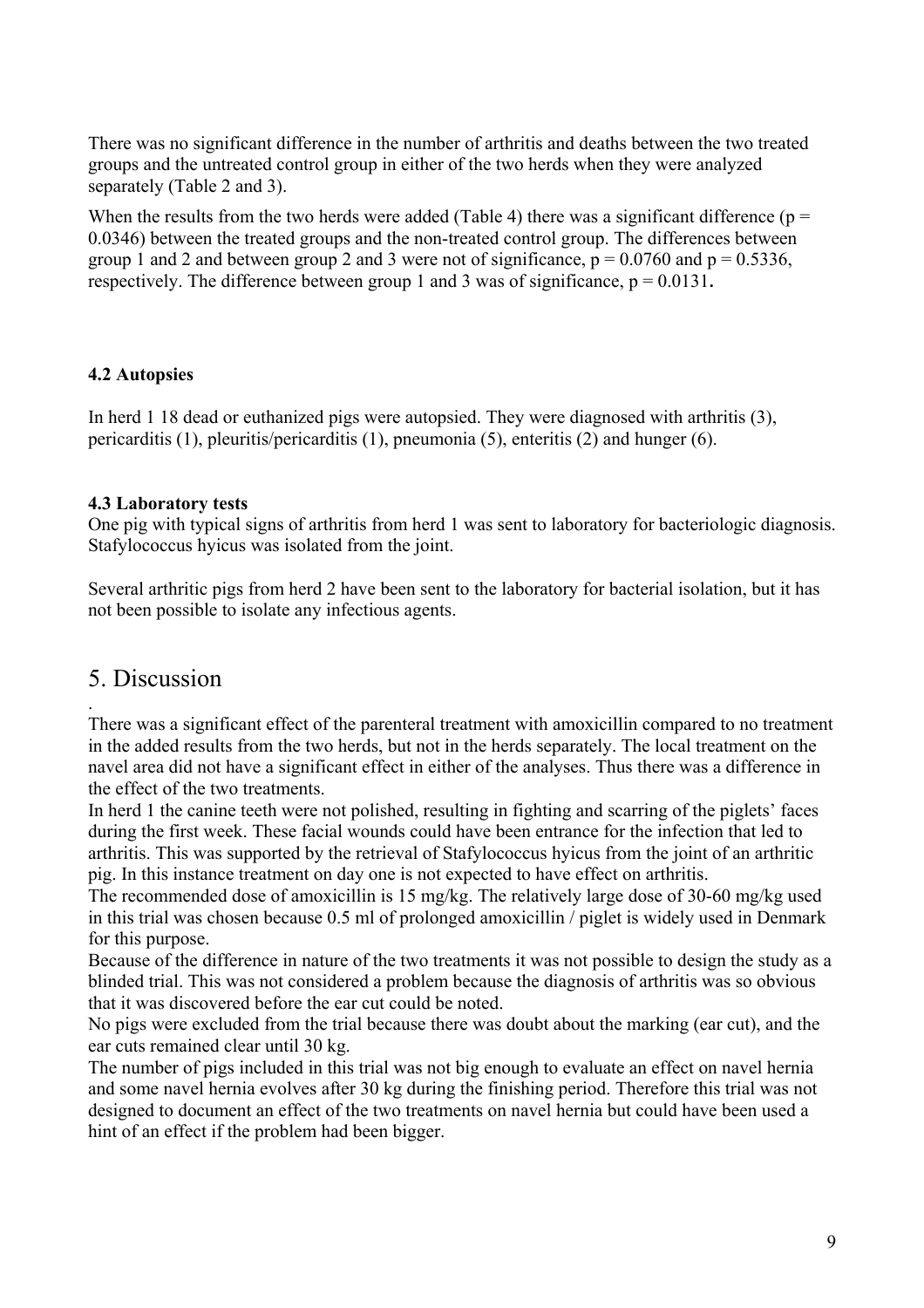There was no significant difference in the number of arthritis and deaths between the two treated groups and the untreated control group in either of the two herds when they were analyzed separately (Table 2 and 3).

When the results from the two herds were added (Table 4) there was a significant difference ( $p =$ 0.0346) between the treated groups and the non-treated control group. The differences between group 1 and 2 and between group 2 and 3 were not of significance,  $p = 0.0760$  and  $p = 0.5336$ , respectively. The difference between group 1 and 3 was of significance,  $p = 0.0131$ .

#### **4.2 Autopsies**

In herd 1 18 dead or euthanized pigs were autopsied. They were diagnosed with arthritis (3), pericarditis (1), pleuritis/pericarditis (1), pneumonia (5), enteritis (2) and hunger (6).

#### **4.3 Laboratory tests**

One pig with typical signs of arthritis from herd 1 was sent to laboratory for bacteriologic diagnosis. Stafylococcus hyicus was isolated from the joint.

Several arthritic pigs from herd 2 have been sent to the laboratory for bacterial isolation, but it has not been possible to isolate any infectious agents.

# 5. Discussion .

There was a significant effect of the parenteral treatment with amoxicillin compared to no treatment in the added results from the two herds, but not in the herds separately. The local treatment on the navel area did not have a significant effect in either of the analyses. Thus there was a difference in the effect of the two treatments.

In herd 1 the canine teeth were not polished, resulting in fighting and scarring of the piglets' faces during the first week. These facial wounds could have been entrance for the infection that led to arthritis. This was supported by the retrieval of Stafylococcus hyicus from the joint of an arthritic pig. In this instance treatment on day one is not expected to have effect on arthritis.

The recommended dose of amoxicillin is 15 mg/kg. The relatively large dose of 30-60 mg/kg used in this trial was chosen because 0.5 ml of prolonged amoxicillin / piglet is widely used in Denmark for this purpose.

Because of the difference in nature of the two treatments it was not possible to design the study as a blinded trial. This was not considered a problem because the diagnosis of arthritis was so obvious that it was discovered before the ear cut could be noted.

No pigs were excluded from the trial because there was doubt about the marking (ear cut), and the ear cuts remained clear until 30 kg.

The number of pigs included in this trial was not big enough to evaluate an effect on navel hernia and some navel hernia evolves after 30 kg during the finishing period. Therefore this trial was not designed to document an effect of the two treatments on navel hernia but could have been used a hint of an effect if the problem had been bigger.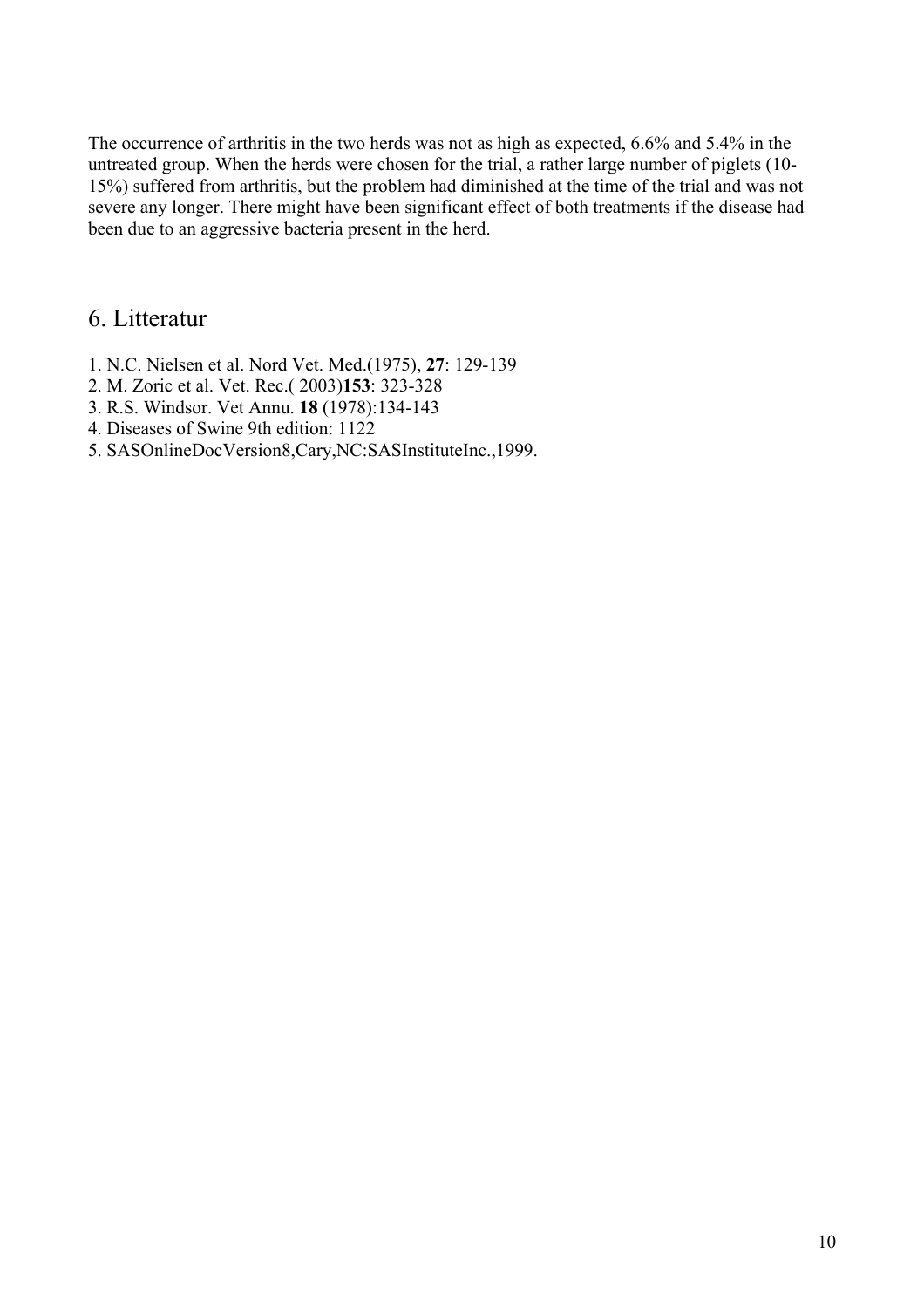The occurrence of arthritis in the two herds was not as high as expected, 6.6% and 5.4% in the untreated group. When the herds were chosen for the trial, a rather large number of piglets (10- 15%) suffered from arthritis, but the problem had diminished at the time of the trial and was not severe any longer. There might have been significant effect of both treatments if the disease had been due to an aggressive bacteria present in the herd.

# 6. Litteratur

- 1. N.C. Nielsen et al. Nord Vet. Med.(1975), **27**: 129-139
- 2. M. Zoric et al. Vet. Rec.( 2003)**153**: 323-328
- 3. R.S. Windsor. Vet Annu. **18** (1978):134-143
- 4. Diseases of Swine 9th edition: 1122
- 5. SASOnlineDocVersion8,Cary,NC:SASInstituteInc.,1999.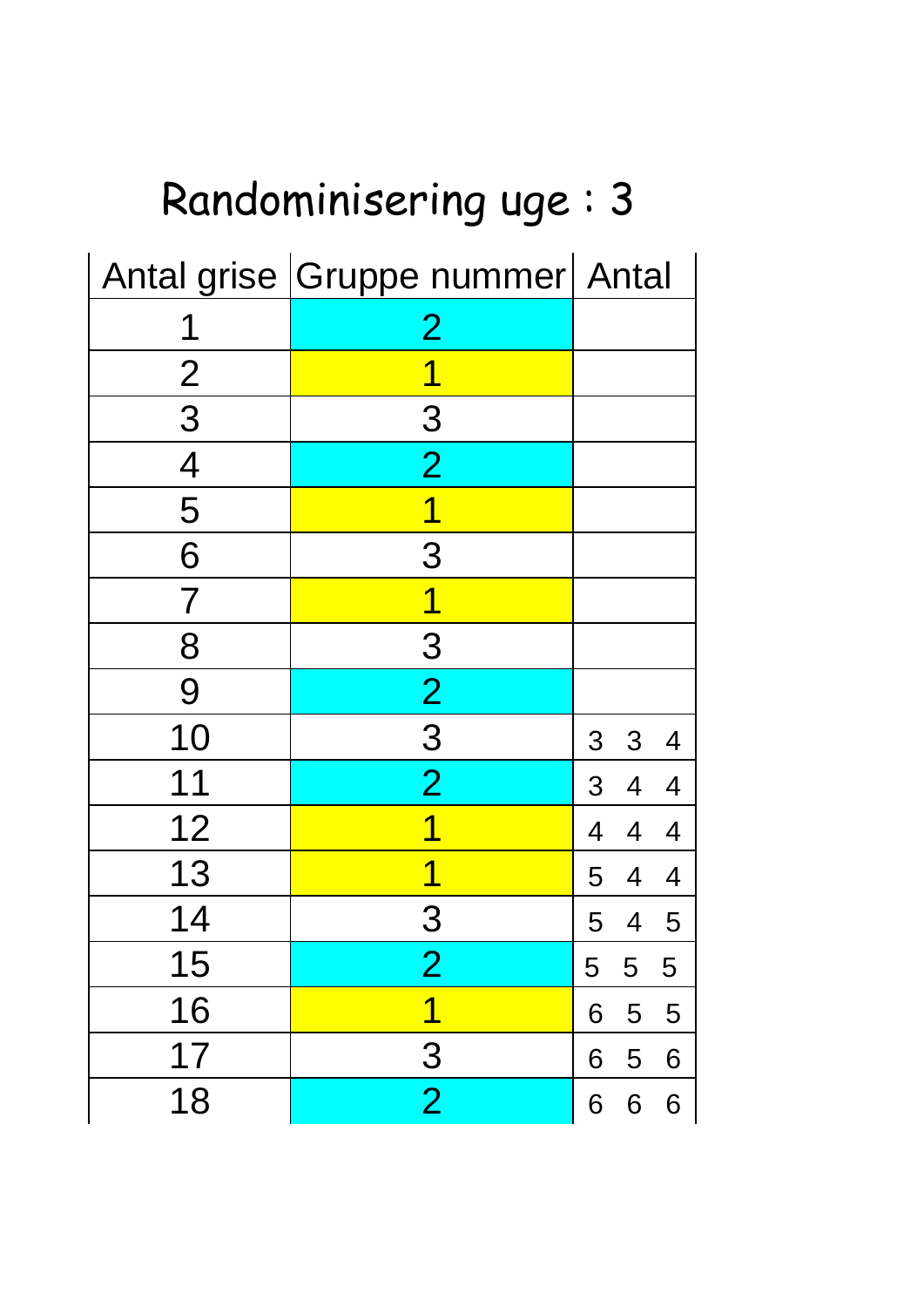| Randominisering uge: 3          |                         |                                                    |  |  |  |  |  |
|---------------------------------|-------------------------|----------------------------------------------------|--|--|--|--|--|
| Antal grise Gruppe nummer Antal |                         |                                                    |  |  |  |  |  |
|                                 | $\overline{2}$          |                                                    |  |  |  |  |  |
| $\overline{2}$                  |                         |                                                    |  |  |  |  |  |
| 3                               | 3                       |                                                    |  |  |  |  |  |
| $\overline{4}$                  | $\overline{2}$          |                                                    |  |  |  |  |  |
| 5                               | 1                       |                                                    |  |  |  |  |  |
| 6                               | 3                       |                                                    |  |  |  |  |  |
| $\overline{\mathcal{I}}$        | 1                       |                                                    |  |  |  |  |  |
| 8                               | 3                       |                                                    |  |  |  |  |  |
| 9                               | $\overline{2}$          |                                                    |  |  |  |  |  |
| 10                              | 3                       | 3<br>$\overline{3}$<br>$\overline{4}$              |  |  |  |  |  |
| 11                              | $\overline{2}$          | 3 <sup>1</sup><br>$\overline{4}$<br>$\overline{4}$ |  |  |  |  |  |
| 12                              |                         | 4<br>4                                             |  |  |  |  |  |
| 13                              |                         | 5<br>4<br>$\overline{4}$                           |  |  |  |  |  |
| 14                              | 3                       | 5<br>$\overline{4}$<br>5                           |  |  |  |  |  |
| 15                              | 2                       | 5<br>5<br>5                                        |  |  |  |  |  |
| 16                              | $\overline{\mathbf{1}}$ | 5<br>6<br>5                                        |  |  |  |  |  |
| 17                              | $\overline{3}$          | 5<br>6<br>6                                        |  |  |  |  |  |
| 18                              | $\overline{2}$          | 6<br>6<br>6                                        |  |  |  |  |  |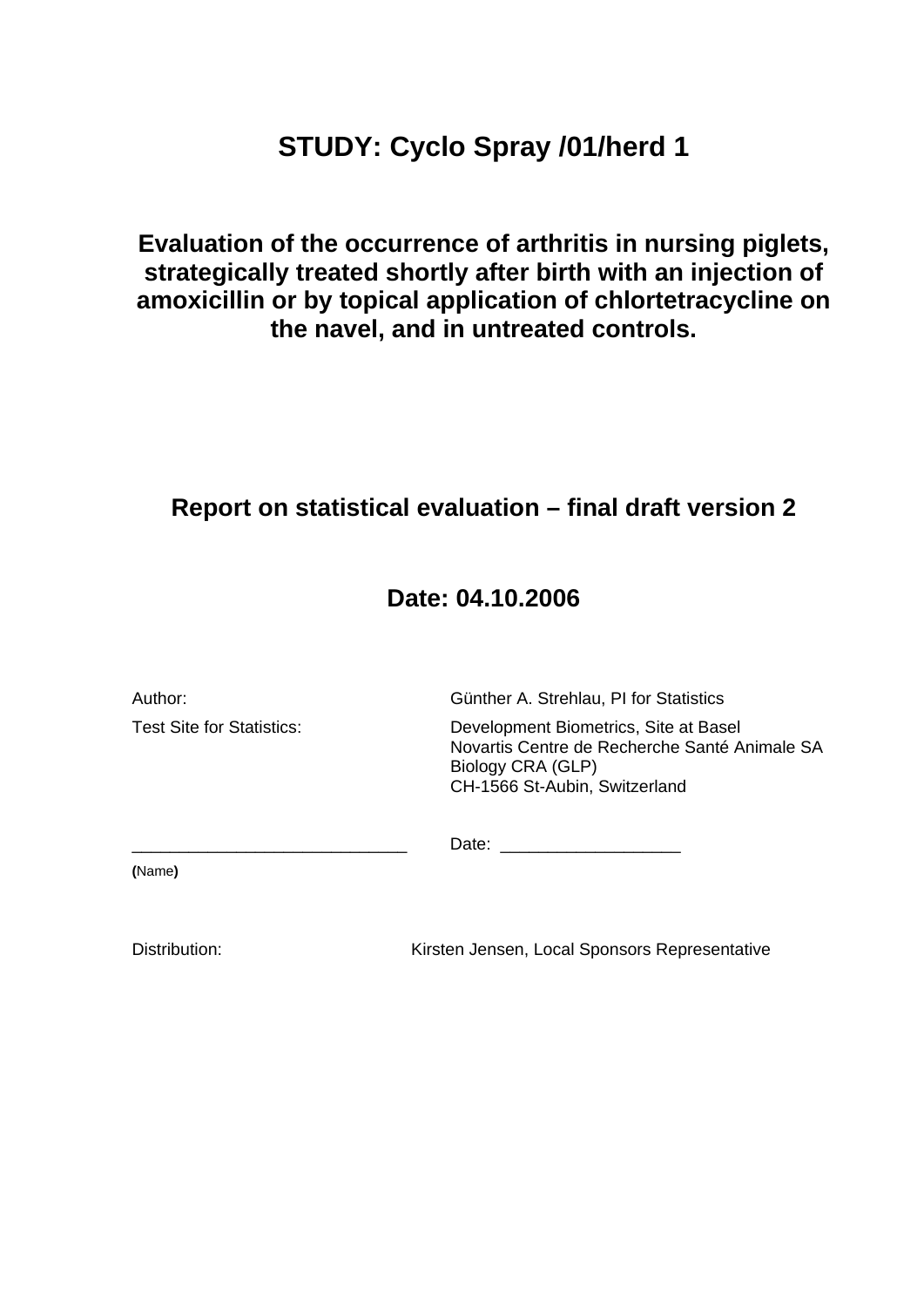# **STUDY: Cyclo Spray /01/herd 1**

**Evaluation of the occurrence of arthritis in nursing piglets, strategically treated shortly after birth with an injection of amoxicillin or by topical application of chlortetracycline on the navel, and in untreated controls.** 

# **Report on statistical evaluation – final draft version 2**

# **Date: 04.10.2006**

| Author:                   | Günther A. Strehlau, PI for Statistics                                                                                                       |  |  |
|---------------------------|----------------------------------------------------------------------------------------------------------------------------------------------|--|--|
| Test Site for Statistics: | Development Biometrics, Site at Basel<br>Novartis Centre de Recherche Santé Animale SA<br>Biology CRA (GLP)<br>CH-1566 St-Aubin, Switzerland |  |  |
|                           | Date:                                                                                                                                        |  |  |
| (Name)                    |                                                                                                                                              |  |  |

Distribution: Kirsten Jensen, Local Sponsors Representative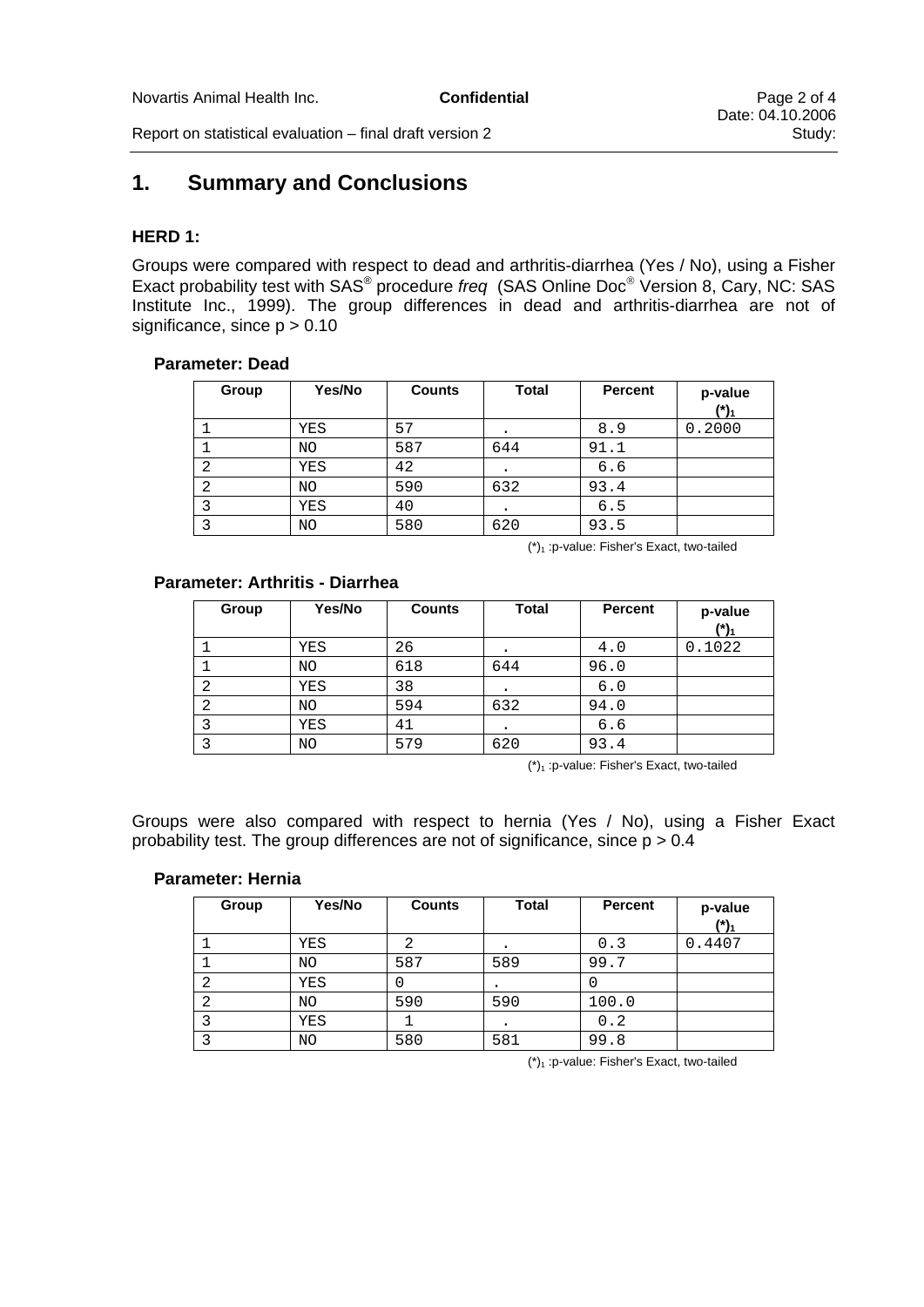Report on statistical evaluation – final draft version 2

# **1. Summary and Conclusions**

#### **HERD 1:**

Groups were compared with respect to dead and arthritis-diarrhea (Yes / No), using a Fisher Exact probability test with SAS® procedure *freq* (SAS Online Doc® Version 8, Cary, NC: SAS Institute Inc., 1999). The group differences in dead and arthritis-diarrhea are not of significance, since  $p > 0.10$ 

#### **Parameter: Dead**

| Group | Yes/No | <b>Counts</b> | <b>Total</b> | <b>Percent</b> | p-value<br>(*). |
|-------|--------|---------------|--------------|----------------|-----------------|
|       | YES    | 57            | ٠            | 8.9            | 0.2000          |
|       | NO     | 587           | 644          | 91.1           |                 |
|       | YES    | 42            | ٠            | 6.6            |                 |
|       | NO     | 590           | 632          | 93.4           |                 |
|       | YES    | 40            | ٠            | 6.5            |                 |
|       | NO     | 580           | 620          | 93.5           |                 |

 $(*)$ <sub>1</sub> :p-value: Fisher's Exact, two-tailed

#### **Parameter: Arthritis - Diarrhea**

| Group | Yes/No | <b>Counts</b> | <b>Total</b> | Percent | p-value<br>$(*)$ |
|-------|--------|---------------|--------------|---------|------------------|
|       | YES    | 26            |              | 4.0     | 0.1022           |
|       | NO     | 618           | 644          | 96.0    |                  |
|       | YES    | 38            |              | 6.0     |                  |
|       | NO.    | 594           | 632          | 94.0    |                  |
|       | YES    | 41            |              | 6.6     |                  |
|       | NO     | 579           | 620          | 93.4    |                  |

 $(*)$ <sub>1</sub> : p-value: Fisher's Exact, two-tailed

Groups were also compared with respect to hernia (Yes / No), using a Fisher Exact probability test. The group differences are not of significance, since  $p > 0.4$ 

#### **Parameter: Hernia**

| Group | Yes/No | <b>Counts</b> | <b>Total</b> | <b>Percent</b> | p-value<br>$(*)1$ |
|-------|--------|---------------|--------------|----------------|-------------------|
|       | YES    |               |              | 0.3            | 0.4407            |
|       | NO.    | 587           | 589          | 99.7           |                   |
|       | YES    | 0             |              |                |                   |
|       | NO     | 590           | 590          | 100.0          |                   |
|       | YES    |               |              | 0.2            |                   |
|       | NO     | 580           | 581          | 99.8           |                   |

 $(*)$ <sub>1</sub> : p-value: Fisher's Exact, two-tailed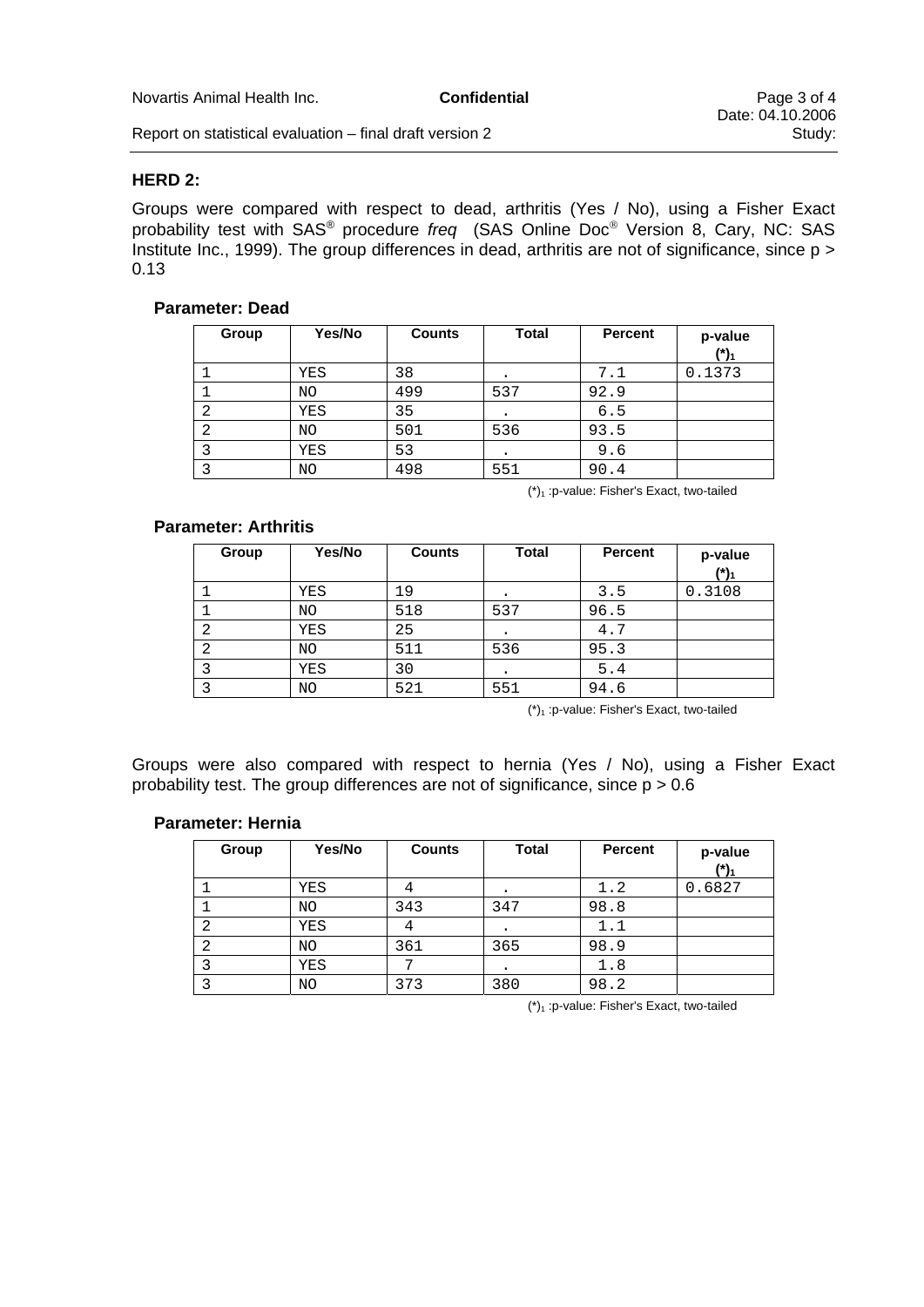Report on statistical evaluation  $-$  final draft version 2

#### **HERD 2:**

Groups were compared with respect to dead, arthritis (Yes / No), using a Fisher Exact probability test with SAS® procedure *freq* (SAS Online Doc® Version 8, Cary, NC: SAS Institute Inc., 1999). The group differences in dead, arthritis are not of significance, since p > 0.13

#### **Parameter: Dead**

| Group | Yes/No | <b>Counts</b> | <b>Total</b> | <b>Percent</b> | p-value<br>/*/ |
|-------|--------|---------------|--------------|----------------|----------------|
|       | YES    | 38            |              | 7.1            | 0.1373         |
|       | NO.    | 499           | 537          | 92.9           |                |
|       | YES    | 35            | ٠            | 6.5            |                |
|       | NO.    | 501           | 536          | 93.5           |                |
|       | YES    | 53            | $\bullet$    | 9.6            |                |
|       | NO     | 498           | 551          | 90.4           |                |

 $(*)_1$ : p-value: Fisher's Exact, two-tailed

#### **Parameter: Arthritis**

| Group | Yes/No | <b>Counts</b> | <b>Total</b> | <b>Percent</b> | p-value<br>$(*)$ |
|-------|--------|---------------|--------------|----------------|------------------|
|       | YES    | 19            |              | 3.5            | 0.3108           |
|       | ΝO     | 518           | 537          | 96.5           |                  |
| 2     | YES    | 25            |              | 4.7            |                  |
| 2     | ΝO     | 511           | 536          | 95.3           |                  |
|       | YES    | 30            |              | 5.4            |                  |
|       | ΝO     | 521           | 551          | 94.6           |                  |

 $(*)$ <sub>1</sub> : p-value: Fisher's Exact, two-tailed

Groups were also compared with respect to hernia (Yes / No), using a Fisher Exact probability test. The group differences are not of significance, since  $p > 0.6$ 

#### **Parameter: Hernia**

| Group | Yes/No | <b>Counts</b> | <b>Total</b> | Percent | p-value<br>$(*)$ |
|-------|--------|---------------|--------------|---------|------------------|
|       | YES    |               |              | 1.2     | 0.6827           |
|       | ΝO     | 343           | 347          | 98.8    |                  |
| 2     | YES    | 7             | ٠            | 1.1     |                  |
| 2     | ΝO     | 361           | 365          | 98.9    |                  |
|       | YES    | ⇁             |              | 1.8     |                  |
|       | NO     | 373           | 380          | 98.2    |                  |

 $(*)$ <sub>1</sub> : p-value: Fisher's Exact, two-tailed